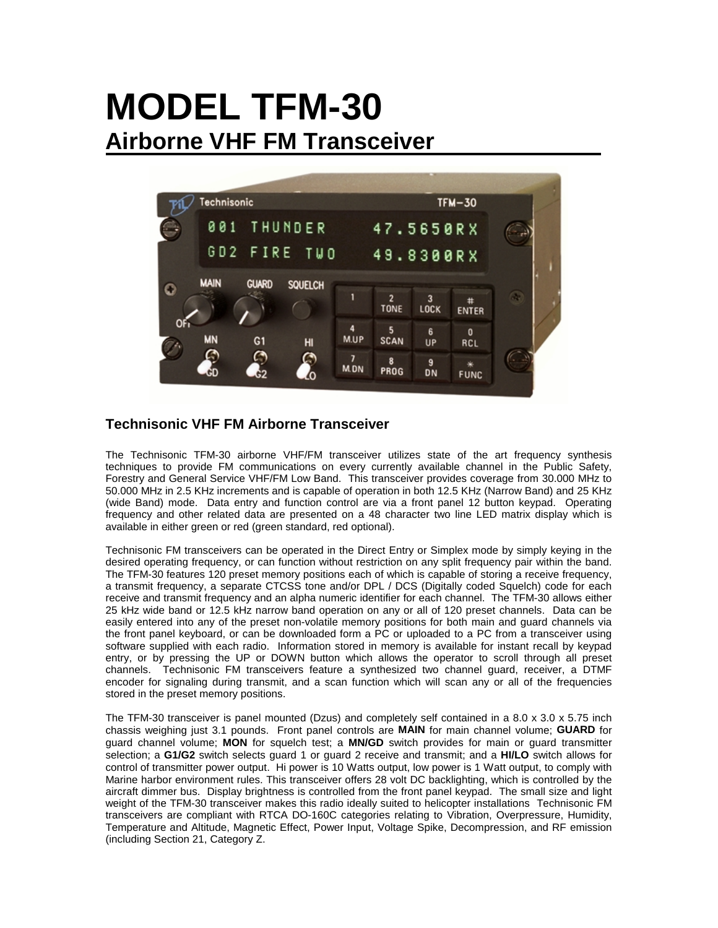# **MODEL TFM-30 Airborne VHF FM Transceiver**



## **Technisonic VHF FM Airborne Transceiver**

The Technisonic TFM-30 airborne VHF/FM transceiver utilizes state of the art frequency synthesis techniques to provide FM communications on every currently available channel in the Public Safety, Forestry and General Service VHF/FM Low Band. This transceiver provides coverage from 30.000 MHz to 50.000 MHz in 2.5 KHz increments and is capable of operation in both 12.5 KHz (Narrow Band) and 25 KHz (wide Band) mode. Data entry and function control are via a front panel 12 button keypad. Operating frequency and other related data are presented on a 48 character two line LED matrix display which is available in either green or red (green standard, red optional).

Technisonic FM transceivers can be operated in the Direct Entry or Simplex mode by simply keying in the desired operating frequency, or can function without restriction on any split frequency pair within the band. The TFM-30 features 120 preset memory positions each of which is capable of storing a receive frequency, a transmit frequency, a separate CTCSS tone and/or DPL / DCS (Digitally coded Squelch) code for each receive and transmit frequency and an alpha numeric identifier for each channel. The TFM-30 allows either 25 kHz wide band or 12.5 kHz narrow band operation on any or all of 120 preset channels. Data can be easily entered into any of the preset non-volatile memory positions for both main and guard channels via the front panel keyboard, or can be downloaded form a PC or uploaded to a PC from a transceiver using software supplied with each radio. Information stored in memory is available for instant recall by keypad entry, or by pressing the UP or DOWN button which allows the operator to scroll through all preset channels. Technisonic FM transceivers feature a synthesized two channel guard, receiver, a DTMF encoder for signaling during transmit, and a scan function which will scan any or all of the frequencies stored in the preset memory positions.

The TFM-30 transceiver is panel mounted (Dzus) and completely self contained in a 8.0 x 3.0 x 5.75 inch chassis weighing just 3.1 pounds. Front panel controls are **MAIN** for main channel volume; **GUARD** for guard channel volume; **MON** for squelch test; a **MN/GD** switch provides for main or guard transmitter selection; a **G1/G2** switch selects guard 1 or guard 2 receive and transmit; and a **HI/LO** switch allows for control of transmitter power output. Hi power is 10 Watts output, low power is 1 Watt output, to comply with Marine harbor environment rules. This transceiver offers 28 volt DC backlighting, which is controlled by the aircraft dimmer bus. Display brightness is controlled from the front panel keypad. The small size and light weight of the TFM-30 transceiver makes this radio ideally suited to helicopter installations Technisonic FM transceivers are compliant with RTCA DO-160C categories relating to Vibration, Overpressure, Humidity, Temperature and Altitude, Magnetic Effect, Power Input, Voltage Spike, Decompression, and RF emission (including Section 21, Category Z.